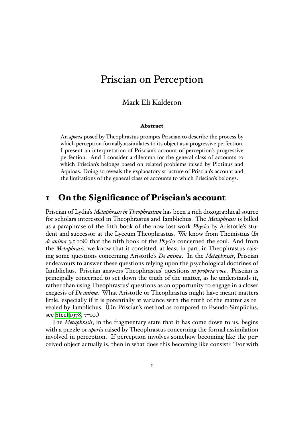# Priscian on Perception

### Mark Eli Kalderon

#### **Abstract**

An *aporia* posed by Theophrastus prompts Priscian to describe the process by which perception formally assimilates to its object as a progressive perfection. I present an interpretation of Priscian's account of perception's progressive perfection. And I consider a dilemma for the general class of accounts to which Priscian's belongs based on related problems raised by Plotinus and Aquinas. Doing so reveals the explanatory structure of Priscian's account and the limitations of the general class of accounts to which Priscian's belongs.

### **1 On the Significance of Priscian's account**

Priscian of Lydia's *Metaphrasis in Theophrastum* has been a rich doxographical source for scholars interested in Theophrastus and Iamblichus. The *Metaphrasis* is billed as a paraphrase of the fifth book of the now lost work *Physics* by Aristotle's student and successor at the Lyceum Theophrastus. We know from Themistius (*In de anima* 3.5 108) that the fifth book of the *Physics* concerned the soul. And from the *Metaphrasis*, we know that it consisted, at least in part, in Theophrastus raising some questions concerning Aristotle's *De anima*. In the *Metaphrasis*, Priscian endeavours to answer these questions relying upon the psychological doctrines of Iamblichus. Priscian answers Theophrastus' questions *in propria voce*. Priscian is principally concerned to set down the truth of the matter, as he understands it, rather than using Theophrastus' questions as an opportunity to engage in a closer exegesis of *De anima*. What Aristotle or Theophrastus might have meant matters little, especially if it is potentially at variance with the truth of the matter as revealed by Iamblichus. (On Priscian's method as compared to Pseudo-Simplicius, see Steel 1978, 7–10.)

The *Metaphrasis*, in the fragmentary state that it has come down to us, begins with a puzzle or *aporia* raised by Theophrastus concerning the formal assimilation inv[olved in pe](#page-22-0)rception. If perception involves somehow becoming like the perceived object actually is, then in what does this becoming like consist? "For with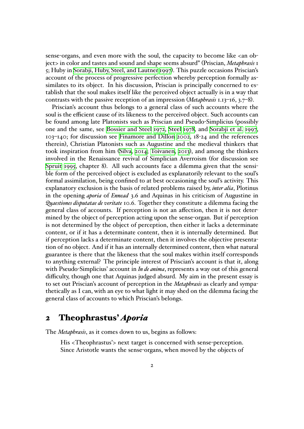sense-organs, and even more with the soul, the capacity to become like <an object> in color and tastes and sound and shape seems absurd" (Priscian, *Metaphrasis* 1 5; Huby in Sorabji, Huby, Steel, and Lautner 1997). This puzzle occasions Priscian's account of the process of progressive perfection whereby perception formally assimilates to its object. In his discussion, Priscian is principally concerned to establish tha[t the soul makes itself like the perceiv](#page-22-1)ed object actually is in a way that contrasts with the passive reception of an impression (*Metaphrasis* 1.13–16, 3.7–8).

Priscian's account thus belongs to a general class of such accounts where the soul is the efficient cause of its likeness to the perceived object. Such accounts can be found among late Platonists such as Priscian and Pseudo-Simplicius (possibly one and the same, see Bossier and Steel 1972, Steel 1978, and Sorabji et al. 1997, 103–140; for discussion see Finamore and Dillon 2002, 18-24 and the references therein), Christian Platonists such as Augustine and the medieval thinkers that took inspiration from him (Silva, 2014; [Toiva](#page-21-0)nen, 2[013\),](#page-22-0) and a[mong the thinkers](#page-22-1) involved in the Renais[sance](#page-21-0) [revival of Simplicia](#page-22-2)[n](#page-22-0) [Aver](#page-22-2)roism (for discussion see Spruit 1995, chapter 8). All such accounts face a dilemma given that the sensible form of the perceived o[bject](#page-22-3) i[s excl](#page-22-3)[uded as ex](#page-23-0)p[lanat](#page-23-0)orily relevant to the soul's formal assimilation, being confined to at best occasioning the soul's activity. This [explanatory](#page-22-4) exclusion is the basis of related problems raised by, *inter alia*, Plotinus in the opening *aporia* of *Ennead* 3.6 and Aquinas in his criticism of Augustine in *Quaestiones disputatae de veritate* 10.6. Together they constitute a dilemma facing the general class of accounts. If perception is not an affection, then it is not determined by the object of perception acting upon the sense-organ. But if perception is not determined by the object of perception, then either it lacks a determinate content, or if it has a determinate content, then it is internally determined. But if perception lacks a determinate content, then it involves the objective presentation of no object. And if it has an internally determined content, then what natural guarantee is there that the likeness that the soul makes within itself corresponds to anything external? The principle interest of Priscian's account is that it, along with Pseudo-Simplicius' account in *In de anima*, represents a way out of this general difficulty, though one that Aquinas judged absurd. My aim in the present essay is to set out Priscian's account of perception in the *Metaphrasis* as clearly and sympathetically as I can, with an eye to what light it may shed on the dilemma facing the general class of accounts to which Priscian's belongs.

### **2 Theophrastus'** *Aporia*

<span id="page-1-0"></span>The *Metaphrasis*, as it comes down to us, begins as follows:

His <Theophrastus'> next target is concerned with sense-perception. Since Aristotle wants the sense-organs, when moved by the objects of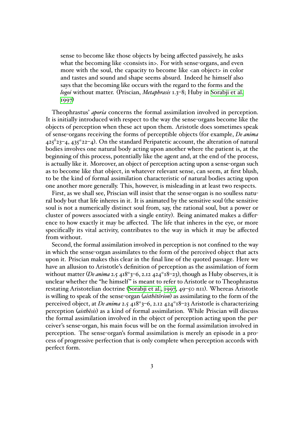sense to become like those objects by being affected passively, he asks what the becoming like <consists in>. For with sense-organs, and even more with the soul, the capacity to become like <an object> in color and tastes and sound and shape seems absurd. Indeed he himself also says that the becoming like occurs with the regard to the forms and the *logoi* without matter. (Priscian, *Metaphrasis* 1.3–8; Huby in Sorabji et al. 1997)

Theophrastus' *aporia* concerns the formal assimilation involved in perception. It is initially introduced with respect to the way the sense-orga[ns become lik](#page-22-1)e the objec[ts of](#page-22-1) perception when these act upon them. Aristotle does sometimes speak of sense-organs receiving the forms of perceptible objects (for example, *De anima* 425*<sup>b</sup>* 23–4, 435*<sup>a</sup>* 22–4). On the standard Peripatetic account, the alteration of natural bodies involves one natural body acting upon another where the patient is, at the beginning of this process, potentially like the agent and, at the end of the process, is actually like it. Moreover, an object of perception acting upon a sense-organ such as to become like that object, in whatever relevant sense, can seem, at first blush, to be the kind of formal assimilation characteristic of natural bodies acting upon one another more generally. This, however, is misleading in at least two respects.

First, as we shall see, Priscian will insist that the sense-organ is no soulless natural body but that life inheres in it. It is animated by the sensitive soul (the sensitive soul is not a numerically distinct soul from, say, the rational soul, but a power or cluster of powers associated with a single entity). Being animated makes a difference to how exactly it may be affected. The life that inheres in the eye, or more specifically its vital activity, contributes to the way in which it may be affected from without.

Second, the formal assimilation involved in perception is not confined to the way in which the sense-organ assimilates to the form of the perceived object that acts upon it. Priscian makes this clear in the final line of the quoted passage. Here we have an allusion to Aristotle's definition of perception as the assimilation of form without matter (*De anima* 2.5 418*<sup>a</sup>* 3–6, 2.12 424*<sup>a</sup>* 18–23), though as Huby observes, it is unclear whether the "he himself" is meant to refer to Aristotle or to Theophrastus restating Aristotelian doctrine (Sorabji et al., 1997, 49–50 n11). Whereas Aristotle is willing to speak of the sense-organ (*aisthêtêrion*) as assimilating to the form of the perceived object, at *De anima* 2.5 418*<sup>a</sup>* 3–6, 2.12 424*<sup>a</sup>* 18–23 Aristotle is characterizing perception (*aisthêsis*) as a kind [of formal assimilati](#page-22-1)on. While Priscian will discuss the formal assimilation involved in the object of perception acting upon the perceiver's sense-organ, his main focus will be on the formal assimilation involved in perception. The sense-organ's formal assimilation is merely an episode in a process of progressive perfection that is only complete when perception accords with perfect form.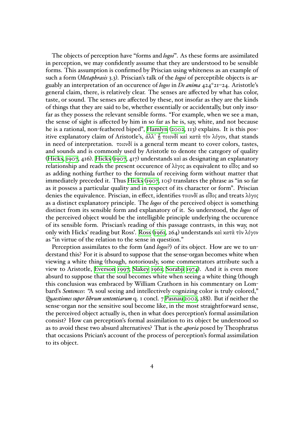The objects of perception have "forms and *logoi*". As these forms are assimilated in perception, we may confidently assume that they are understood to be sensible forms. This assumption is confirmed by Priscian using whiteness as an example of such a form (*Metaphrasis* 3.3). Priscian's talk of the *logoi* of perceptible objects is arguably an interpretation of an occurence of *logos* in *De anima* 424*<sup>a</sup>* 21–24. Aristotle's general claim, there, is relatively clear. The senses are affected by what has color, taste, or sound. The senses are affected by these, not insofar as they are the kinds of things that they are said to be, whether essentially or accidentally, but only insofar as they possess the relevant sensible forms. "For example, when we see a man, the sense of sight is affected by him in so far as he is, say, white, and not because he is a rational, non-feathered biped", Hamlyn (2002, 113) explains. It is this positive explanatory claim of Aristotle's, ἀλλ᾽ ᾗ τοιονδί καὶ κατὰ τὸν λόγον, that stands in need of interpretation. τοιονδί is a general term meant to cover colors, tastes, and sounds and is commonly used by [Aristotle](#page-22-5) [to de](#page-22-5)note the category of quality (Hicks, 1907, 416). Hicks (1907, 417) understands καὶ as designating an explanatory relationship and reads the present occurence of λὸγος as equivalent to εἶδος and so as adding nothing further to the formula of receiving form without matter that immediately preceded it. Thus Hicks (1907, 105) translates the phrase as "in so far [as it possess](#page-22-6) a part[icular quality](#page-22-6) and in respect of its character or form". Priscian denies the equivalence. Priscian, in effect, identifies τοιονδί as εἶδος and treats λὸγος as a distinct explanatory princi[ple. Th](#page-22-6)e *logos* of the perceived object is something distinct from its sensible form and ex[plana](#page-22-6)tory of it. So understood, the *logos* of the perceived object would be the intelligible principle underlying the occurence of its sensible form. Priscian's reading of this passage contrasts, in this way, not only with Hicks' reading but Ross'. Ross (1961, 264) understands καὶ κατὰ τὸν λόγον as "in virtue of the relation to the sense in question."

Perception assimilates to the form (and *logos*?) of its object. How are we to understand this? For it is absurd to su[ppose](#page-22-7) t[hat t](#page-22-7)he sense-organ becomes white when viewing a white thing (though, notoriously, some commentators attribute such a view to Aristotle, Everson 1997; Slakey 1961; Sorabji 1974). And it is even more absurd to suppose that the soul becomes white when seeing a white thing (though this conclusion was embraced by William Crathorn in his commentary on Lombard's *Sentences*: "A [soul seeing an](#page-21-1)[d intellectiv](#page-22-8)[ely cognizing](#page-22-9) color is truly colored," *Quaestiones super librum sententiarum* q. 1 concl. 7 Pasnau 2002, 288). But if neither the sense-organ nor the sensitive soul become like, in the most straightforward sense, the perceived object actually is, then in what does perception's formal assimilation consist? How can perception's formal assimil[ation to its o](#page-22-10)bject be understood so as to avoid these two absurd alternatives? That is the *aporia* posed by Theophratus that occasions Prician's account of the process of perception's formal assimilation to its object.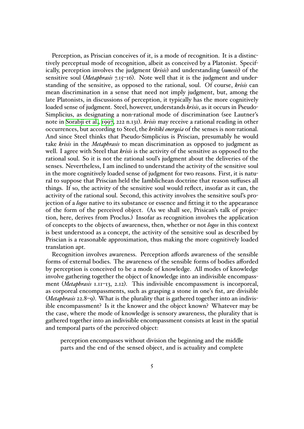Perception, as Priscian conceives of it, is a mode of recognition. It is a distinctively perceptual mode of recognition, albeit as conceived by a Platonist. Specifically, perception involves the judgment (*krisis*) and understanding (*sunesis*) of the sensitive soul (*Metaphrasis* 7.15–16). Note well that it is the judgment and understanding of the sensitive, as opposed to the rational, soul. Of course, *krisis* can mean discrimination in a sense that need not imply judgment, but, among the late Platonists, in discussions of perception, it typically has the more cognitively loaded sense of judgment. Steel, however, understands *krisis*, as it occurs in Pseudo-Simplicius, as designating a non-rational mode of discrimination (see Lautner's note in Sorabji et al., 1997, 222 n.131). *krisis* may receive a rational reading in other occurrences, but according to Steel, the *kritikê energeia* of the senses is non-rational. And since Steel thinks that Pseudo-Simplicius is Priscian, presumably he would take *krisis* in the *Met[aphra](#page-22-1)sis* to mean discrimination as opposed to judgment as well. I [agree with Ste](#page-22-1)el that *krisis* is the activity of the sensitive as opposed to the rational soul. So it is not the rational soul's judgment about the deliveries of the senses. Nevertheless, I am inclined to understand the activity of the sensitive soul in the more cognitively loaded sense of judgment for two reasons. First, it is natural to suppose that Priscian held the Iamblichean doctrine that reason suffuses all things. If so, the activity of the sensitive soul would reflect, insofar as it can, the activity of the rational soul. Second, this activity involves the sensitive soul's projection of a *logos* native to its substance or essence and fitting it to the appearance of the form of the perceived object. (As we shall see, Prisican's talk of projection, here, derives from Proclus.) Insofar as recognition involves the application of concepts to the objects of awareness, then, whether or not *logos* in this context is best understood as a concept, the activity of the sensitive soul as described by Priscian is a reasonable approximation, thus making the more cognitively loaded translation apt.

Recognition involves awareness. Perception affords awareness of the sensible forms of external bodies. The awareness of the sensible forms of bodies afforded by perception is conceived to be a mode of knowledge. All modes of knowledge involve gathering together the object of knowledge into an indivisible encompassment (*Metaphrasis* 1.11–13, 2.12). This indivisible encompassment is incorporeal, as corporeal encompassments, such as grasping a stone in one's fist, are divisible (*Metaphrasis* 22.8–9). What is the plurality that is gathered together into an indivisible encompassment? Is it the knower and the object known? Whatever may be the case, where the mode of knowledge is sensory awareness, the plurality that is gathered together into an indivisible encompassment consists at least in the spatial and temporal parts of the perceived object:

perception encompasses without division the beginning and the middle parts and the end of the sensed object, and is actuality and complete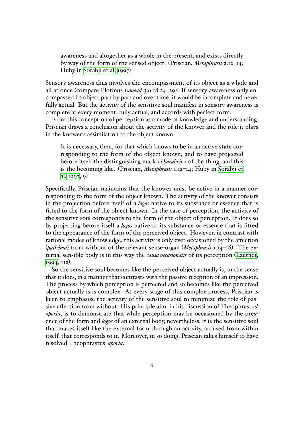awareness and altogether as a whole in the present, and exists directly by way of the form of the sensed object. (Priscian, *Metaphrasis* 2.12–14; Huby in Sorabji et al. 1997)

Sensory awareness thus involves the encompassment of its object as a whole and all at once (compare Plotinus *Ennead* 3.6.18 24–29). If sensory awareness only encompassed its [object part by par](#page-22-1)t and over time, it would be incomplete and never fully actual. But the activity of the sensitive soul manifest in sensory awareness is complete at every moment, fully actual, and accords with perfect form.

From this conception of perception as a mode of knowledge and understanding, Priscian draws a conclusion about the activity of the knower and the role it plays in the knower's assimilation to the object known:

It is necessary, then, for that which knows to be in an active state corresponding to the form of the object known, and to have projected before itself the distinguishing mark <*kharaktêr*> of the thing, and this is the becoming like. (Priscian, *Metaphrasis* 1.12–14; Huby in Sorabji et al. 1997, 9)

Specifically, Priscian maintains that the knower must be active in a manner corresponding to the form of the object known. The activity of the [knower co](#page-22-1)nsists in th[e project](#page-22-1)ion before itself of a *logos* native to its substance or essence that is fitted to the form of the object known. In the case of perception, the activity of the sensitive soul corresponds to the form of the object of perception. It does so by projecting before itself a *logos* native to its substance or essence that is fitted to the appearance of the form of the perceived object. However, in contrast with rational modes of knowledge, this activity is only ever occasioned by the affection (*pathêma*) from without of the relevant sense-organ (*Metaphrasis* 1.14–16). The external sensible body is in this way the *causa occasionalis* of its perception (Lautner, 1994, 112).

So the sensitive soul becomes like the perceived object actually is, in the sense that it does, in a manner that contrasts with the passive reception of an im[pression.](#page-22-11) [The](#page-22-11) process by which perception is perfected and so becomes like the perceived object actually is is complex. At every stage of this complex process, Priscian is keen to emphasize the activity of the sensitive soul to minimize the role of passive affection from without. His principle aim, in his discussion of Theophrastus' *aporia*, is to demonstrate that while perception may be occasioned by the presence of the form and *logos* of an external body, nevertheless, it is the sensitive soul that makes itself like the external form through an activity, aroused from within itself, that corresponds to it. Moreover, in so doing, Priscian takes himself to have resolved Theophrastus' *aporia*.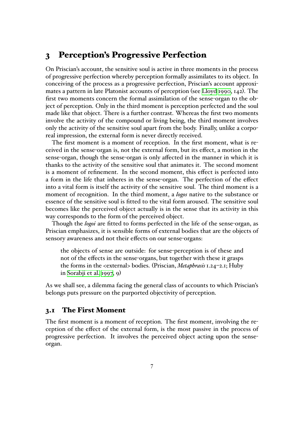### **3 Perception's Progressive Perfection**

On Priscian's account, the sensitive soul is active in three moments in the process of progressive perfection whereby perception formally assimilates to its object. In conceiving of the process as a progressive perfection, Priscian's account approximates a pattern in late Platonist accounts of perception (see Lloyd 1990, 142). The first two moments concern the formal assimilation of the sense-organ to the object of perception. Only in the third moment is perception perfected and the soul made like that object. There is a further contrast. Whereas [the first two](#page-22-12) moments involve the activity of the compound or living being, the third moment involves only the activity of the sensitive soul apart from the body. Finally, unlike a corporeal impression, the external form is never directly received.

The first moment is a moment of reception. In the first moment, what is received in the sense-organ is, not the external form, but its effect, a motion in the sense-organ, though the sense-organ is only affected in the manner in which it is thanks to the activity of the sensitive soul that animates it. The second moment is a moment of refinement. In the second moment, this effect is perfected into a form in the life that inheres in the sense-organ. The perfection of the effect into a vital form is itself the activity of the sensitive soul. The third moment is a moment of recognition. In the third moment, a *logos* native to the substance or essence of the sensitive soul is fitted to the vital form aroused. The sensitive soul becomes like the perceived object actually is in the sense that its activity in this way corresponds to the form of the perceived object.

Though the *logoi* are fitted to forms perfected in the life of the sense-organ, as Priscian emphasizes, it is sensible forms of external bodies that are the objects of sensory awareness and not their effects on our sense-organs:

the objects of sense are outside: for sense-perception is of these and not of the effects in the sense-organs, but together with these it grasps the forms in the <external> bodies. (Priscian, *Metaphrasis*1.24–2.1; Huby in Sorabji et al. 1997, 9)

As we shall see, a dilemma facing the general class of accounts to which Priscian's belongs [puts pressure on t](#page-22-1)he purported objectivity of perception.

#### **3.1 The First Moment**

The first moment is a moment of reception. The first moment, involving the reception of the effect of the external form, is the most passive in the process of progressive perfection. It involves the perceived object acting upon the senseorgan.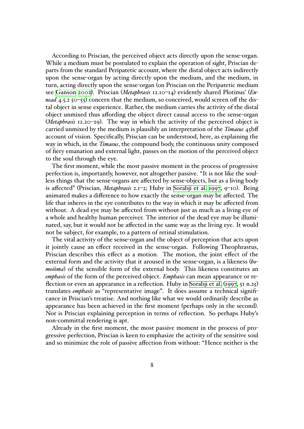According to Priscian, the perceived object acts directly upon the sense-organ. While a medium must be postulated to explain the operation of sight, Priscian departs from the standard Peripatetic account, where the distal object acts indirectly upon the sense-organ by acting directly upon the medium, and the medium, in turn, acting directly upon the sense-organ (on Priscian on the Peripatetic medium see Ganson 2002). Priscian (*Metaphrasis* 12.10–14) evidently shared Plotinus' (*Ennead* 4.5.2 50–55) concern that the medium, so conceived, would screen off the distal object in sense experience. Rather, the medium carries the activity of the distal obj[ect unmi](#page-22-13)xed thus affording the object direct causal access to the sense-organ (*Metaphrasis* [12.20–](#page-22-13)29). The way in which the activity of the perceived object is carried unmixed by the medium is plausibly an interpretation of the *Timaeus* 45bff account of vision. Specifically, Priscian can be understood, here, as explaining the way in which, in the *Timaeus*, the compound body, the continuous unity composed of fiery emanation and external light, passes on the motion of the perceived object to the soul through the eye.

The first moment, while the most passive moment in the process of progressive perfection is, importantly, however, not altogether passive. "It is not like the soulless things that the sense-organs are affected by sense-objects, but as a living body is affected" (Priscian, *Metaphrasis* 2.1–2; Huby in Sorabji et al. 1997, 9–10). Being animated makes a difference to how exactly the sense-organ may be affected. The life that inheres in the eye contributes to the way in which it may be affected from without. A dead eye may be affected from with[out just as much as](#page-22-1) a living eye of a whole and healthy human perceiver. The interior of the dead eye may be illuminated, say, but it would not be affected in the same way as the living eye. It would not be subject, for example, to a pattern of retinal stimulation.

The vital activity of the sense-organ and the object of perception that acts upon it jointly cause an effect received in the sense-organ. Following Theophrastus, Priscian describes this effect as a motion. The motion, the joint effect of the external form and the activity that it aroused in the sense-organ, is a likeness (*homoiôma*) of the sensible form of the external body. This likeness constitutes an *emphasis* of the form of the perceived object. *Emphasis* can mean appearance or reflection or even an appearance in a reflection. Huby in Sorabji et al. (1997, 51 n.25) translates *emphasis* as "representative image". It does assume a technical significance in Priscian's treatise. And nothing like what we would ordinarily describe as appearance has been achieved in the first moment (p[erhaps only in the s](#page-22-1)econd). Nor is Priscian explaining perception in terms of reflection. So perhaps Huby's non-committal rendering is apt.

Already in the first moment, the most passive moment in the process of progressive perfection, Priscian is keen to emphasize the activity of the sensitive soul and so minimize the role of passive affection from without: "Hence neither is the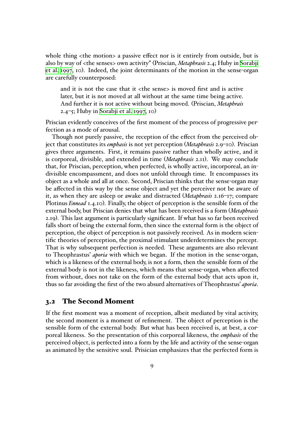whole thing  $\langle$  the motion a passive effect nor is it entirely from outside, but is also by way of <the senses> own activity" (Priscian, *Metaphrasis* 2.4; Huby in Sorabji et al. 1997, 10). Indeed, the joint determinants of the motion in the sense-organ are carefully counterposed:

and it is not the case that it  $\langle$  the sense $\rangle$  is mo[ve](#page-22-1)d first and is active [later,](#page-22-1) but it is not moved at all without at the same time being active. And further it is not active without being moved. (Priscian, *Metaphrais* 2.4–5; Huby in Sorabji et al. 1997, 10)

Priscian evidently conceives of the first moment of the process of progressive perfection as a mode of arousal.

Though not purel[y passive, the rece](#page-22-1)ption of the effect from the perceived object that constitutes its *emphasis* is not yet perception (*Metaphrasis* 2.9–10). Priscian gives three arguments. First, it remains passive rather than wholly active, and it is corporeal, divisible, and extended in time (*Metaphrasis* 2.11). We may conclude that, for Priscian, perception, when perfected, is wholly active, incorporeal, an indivisible encompassment, and does not unfold through time. It encompasses its object as a whole and all at once. Second, Priscian thinks that the sense-organ may be affected in this way by the sense object and yet the perceiver not be aware of it, as when they are asleep or awake and distracted (*Metaphrasis* 2.16–17; compare Plotinus *Ennead* 1.4.10). Finally, the object of perception is the sensible form of the external body, but Priscian denies that what has been received is a form (*Metaphrasis* 2.19). This last argument is particularly significant. If what has so far been received falls short of being the external form, then since the external form is the object of perception, the object of perception is not passively received. As in modern scientific theories of perception, the proximal stimulant underdetermines the percept. That is why subsequent perfection is needed. These arguments are also relevant to Theophrastus' *aporia* with which we began. If the motion in the sense-organ, which is a likeness of the external body, is not a form, then the sensible form of the external body is not in the likeness, which means that sense-organ, when affected from without, does not take on the form of the external body that acts upon it, thus so far avoiding the first of the two absurd alternatives of Theophrastus' *aporia*.

#### **3.2 The Second Moment**

If the first moment was a moment of reception, albeit mediated by vital activity, the second moment is a moment of refinement. The object of perception is the sensible form of the external body. But what has been received is, at best, a corporeal likeness. So the presentation of this corporeal likeness, the *emphasis* of the perceived object, is perfected into a form by the life and activity of the sense-organ as animated by the sensitive soul. Prisician emphasizes that the perfected form is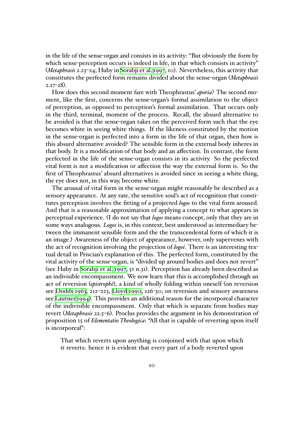in the life of the sense-organ and consists in its activity: "But obviously the form by which sense-perception occurs is indeed in life, in that which consists in activity" (*Metaphrasis* 2.23–24; Huby in Sorabji et al. 1997, 10). Nevertheless, this activity that constitutes the perfected form remains divided about the sense-organ (*Metaphrasis* 2.27-28).

How does this second mo[ment fare with Th](#page-22-1)eophrastus' *aporia*? The second moment, like the first, concerns the sense-organ's formal assimilation to the object of perception, as opposed to perception's formal assimilation. That occurs only in the third, terminal, moment of the process. Recall, the absurd alternative to be avoided is that the sense-organ takes on the perceived form such that the eye becomes white in seeing white things. If the likeness constituted by the motion in the sense-organ is perfected into a form in the life of that organ, then how is this absurd alternative avoided? The sensible form in the external body inheres in that body. It is a modification of that body and an affection. In contrast, the form perfected in the life of the sense-organ consists in its activity. So the perfected vital form is not a modification or affection the way the external form is. So the first of Theophrastus' absurd alternatives is avoided since in seeing a white thing, the eye does not, in this way, become white.

The arousal of vital form in the sense-organ might reasonably be described as a sensory appearance. At any rate, the sensitive soul's act of recognition that constitutes perception involves the fitting of a projected *logos* to the vital form aroused. And that is a reasonable approximation of applying a concept to what appears in perceptual experience. (I do not say that *logos* means concept, only that they are in some ways analogous. *Logos* is, in this context, best understood as intermediary between the immanent sensible form and the the transcendental form of which it is an image.) Awareness of the object of appearance, however, only supervenes with the act of recognition involving the projection of *logoi*. There is an interesting textual detail in Priscian's explanation of this. The perfected form, constituted by the vital activity of the sense-organ, is "divided up around bodies and does not revert" (see Huby in Sorabji et al. 1997, 51 n.31). Perception has already been described as an indivisible encompassment. We now learn that this is accomplished through an act of reversion (*epistrophê*), a kind of wholly folding within oneself (on reversion see Dodds 1[963, 212–223,](#page-22-1) [Lloyd](#page-22-1) 1990, 126-30; on reversion and sensory awareness see Lautner  $1994$ ). This provides an additional reason for the incorporeal character of the indivisible encompassment. Only that which is separate from bodies may revert (*Met[aphra](#page-21-2)sis* 22.5–6[\). Proclus pr](#page-22-12)ovides the argument in his demonstration of pro[position 15 of](#page-22-11) *Elementatio Theologica*: "All that is capable of reverting upon itself is incorporeal":

That which reverts upon anything is conjoined with that upon which it reverts: hence it is evident that every part of a body reverted upon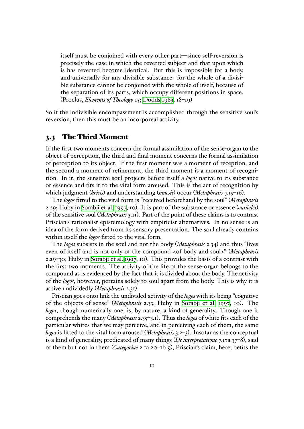itself must be conjoined with every other part—since self-reversion is precisely the case in which the reverted subject and that upon which is has reverted become identical. But this is impossible for a body, and universally for any divisible substance: for the whole of a divisible substance cannot be conjoined with the whole of itself, because of the separation of its parts, which occupy different positions in space. (Proclus, *Elements of Theology* 15; Dodds 1963, 18–19)

So if the indivisible encompassment is accomplished through the sensitive soul's reversion, then this must be an incor[poreal activi](#page-21-2)ty.

#### **3.3 The Third Moment**

If the first two moments concern the formal assimilation of the sense-organ to the object of perception, the third and final moment concerns the formal assimilation of perception to its object. If the first moment was a moment of reception, and the second a moment of refinement, the third moment is a moment of recognition. In it, the sensitive soul projects before itself a *logos* native to its substance or essence and fits it to the vital form aroused. This is the act of recognition by which judgment (*krisis*) and understanding (*sunesis*) occur (*Metaphrasis* 7.15–16).

The *logos* fitted to the vital form is "received beforehand by the soul" (*Metaphrasis* 2.29; Huby in Sorabji et al. 1997, 10). It is part of the substance or essence (*ousiôdês*) of the sensitive soul (*Metaphrasis* 3.11). Part of the point of these claims is to contrast Priscian's rationalist epistemology with empiricist alternatives. In no sense is an idea of the fo[rm derived from i](#page-22-1)ts sensory presentation. The soul already contains within itself the *logos* fitted to the vital form.

The *logos* subsists in the soul and not the body (*Metaphrasis* 2.34) and thus "lives even of itself and is not only of the compound <of body and soul>" (*Metaphrasis* 2.29–30; Huby in Sorabji et al. 1997, 10). This provides the basis of a contrast with the first two moments. The activity of the life of the sense-organ belongs to the compound as is evidenced by the fact that it is divided about the body. The activity of the *logos*, how[ever, pertains solel](#page-22-1)y to soul apart from the body. This is why it is active undividedly (*Metaphrasis* 2.31).

Priscian goes onto link the undivided activity of the *logos* with its being "cognitive of the objects of sense" (*Metaphrasis* 2.33; Huby in Sorabji et al. 1997, 10). The *logos*, though numerically one, is, by nature, a kind of generality. Though one it comprehends the many (*Metaphrasis* 2.35–3.1). Thus the *logos* of white fits each of the particular whites that we may perceive, and in perc[eiving each of](#page-22-1) [them](#page-22-1), the same *logos* is fitted to the vital form aroused (*Metaphrasis* 3.2–3). Insofar as the conceptual is a kind of generality, predicated of many things (*De interpretatione* 7.17a 37–8), said of them but not in them (*Categoriae* 2.1a 20–1b 9), Priscian's claim, here, befits the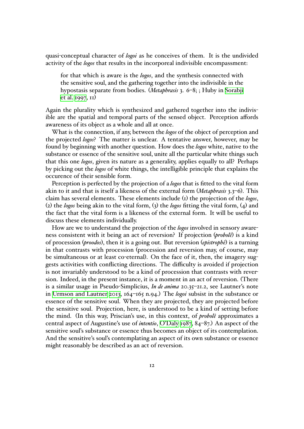quasi-conceptual character of *logoi* as he conceives of them. It is the undivided activity of the *logos* that results in the incorporeal indivisible encompassment:

for that which is aware is the *logos*, and the synthesis connected with the sensitive soul, and the gathering together into the indivisible in the hypostasis separate from bodies. (*Metaphrasis* 3. 6–8; ; Huby in Sorabji et al. 1997, 11)

Again the plurality which is synthesized and gathered together into the indivisible are the spatial and temporal parts of the sensed object. Perce[ption aff](#page-22-1)ords aware[ness of its](#page-22-1) object as a whole and all at once.

What is the connection, if any, between the *logos* of the object of perception and the projected *logos*? The matter is unclear. A tentative answer, however, may be found by beginning with another question. How does the *logos* white, native to the substance or essence of the sensitive soul, unite all the particular white things such that this one *logos*, given its nature as a generality, applies equally to all? Perhaps by picking out the *logos* of white things, the intelligible principle that explains the occurence of their sensible form.

Perception is perfected by the projection of a *logos* that is fitted to the vital form akin to it and that is itself a likeness of the external form (*Metaphrasis* 3.3–6). This claim has several elements. These elements include (1) the projection of the *logos*, (2) the *logos* being akin to the vital form, (3) the *logos* fitting the vital form, (4) and the fact that the vital form is a likeness of the external form. It will be useful to discuss these elements individually.

How are we to understand the projection of the *logos* involved in sensory awareness consistent with it being an act of reversion? If projection (*probolê*) is a kind of procession (*proodos*), then it is a going out. But reversion (*epistrophê*) is a turning in that contrasts with procession (procession and reversion may, of course, may be simultaneous or at least co-eternal). On the face of it, then, the imagery suggests activities with conflicting directions. The difficulty is avoided if projection is not invariably understood to be a kind of procession that contrasts with reversion. Indeed, in the present instance, it is a moment in an act of reversion. (There is a similar usage in Pseudo-Simplicius, *In de anima* 20.35–21.2, see Lautner's note in Urmson and Lautner 2013, 164–165 n.94.) The *logoi* subsist in the substance or essence of the sensitive soul. When they are projected, they are projected before the sensitive soul. Projection, here, is understood to be a kind of setting before th[e mind. \(In this way, Prisc](#page-23-1)ian's use, in this context, of *probolê* approximates a central aspect of Augustine's use of *intentio*, O'Daly 1987, 84–87.) An aspect of the sensitive soul's substance or essence thus becomes an object of its contemplation. And the sensitive's soul's contemplating an aspect of its own substance or essence might reasonably be described as an act of [reversion.](#page-22-14)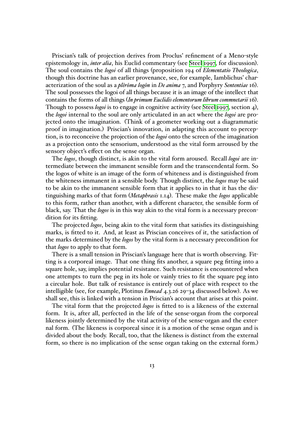Priscian's talk of projection derives from Proclus' refinement of a Meno-style epistemology in, *inter alia*, his Euclid commentary (see Steel 1997, for discussion). The soul contains the *logoi* of all things (proposition 194 of *Elementatio Theologica*, though this doctrine has an earlier provenance, see, for example, Iamblichus' characterization of the soul as a *plêrôma logôn* in *De anima* 7, [and Porphy](#page-22-15)ry *Sententiae* 16). The soul possesses the logoi of all things because it is an image of the intellect that contains the forms of all things (*In primum Euclidis elementorum librum commnetarii* 16). Though to possess *logoi* is to engage in cognitive activity (see Steel 1997, section 4), the *logoi* internal to the soul are only articulated in an act where the *logoi* are projected onto the imagination. (Think of a geometer working out a diagrammatic proof in imagination.) Priscian's innovation, in adapting th[is account](#page-22-15) to perception, is to reconceive the projection of the *logoi* onto the screen of the imagination as a projection onto the sensorium, understood as the vital form arroused by the sensory object's effect on the sense organ.

The *logos*, though distinct, is akin to the vital form aroused. Recall *logoi* are intermediate between the immanent sensible form and the transcendental form. So the logos of white is an image of the form of whiteness and is distinguished from the whiteness immanent in a sensible body. Though distinct, the *logos* may be said to be akin to the immanent sensible form that it applies to in that it has the distinguishing marks of that form (*Metaphrasis* 1.14). These make the *logos* applicable to this form, rather than another, with a different character, the sensible form of black, say. That the *logos* is in this way akin to the vital form is a necessary precondition for its fitting.

The projected *logos*, being akin to the vital form that satisfies its distinguishing marks, is fitted to it. And, at least as Priscian conceives of it, the satisfaction of the marks determined by the *logos* by the vital form is a necessary precondition for that *logos* to apply to that form.

There is a small tension in Priscian's language here that is worth observing. Fitting is a corporeal image. That one thing fits another, a square peg fitting into a square hole, say, implies potential resistance. Such resistance is encountered when one attempts to turn the peg in its hole or vainly tries to fit the square peg into a circular hole. But talk of resistance is entirely out of place with respect to the intelligible (see, for example, Plotinus *Ennead* 4.3.26 29–34 discussed below). As we shall see, this is linked with a tension in Priscian's account that arises at this point.

The vital form that the projected *logos* is fitted to is a likeness of the external form. It is, after all, perfected in the life of the sense-organ from the corporeal likeness jointly determined by the vital activity of the sense-organ and the external form. (The likeness is corporeal since it is a motion of the sense organ and is divided about the body. Recall, too, that the likeness is distinct from the external form, so there is no implication of the sense organ taking on the external form.)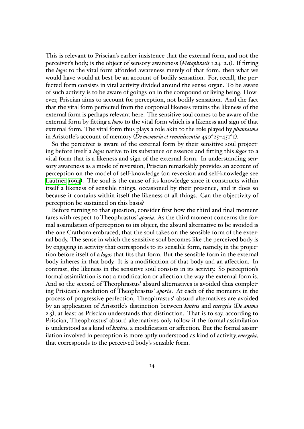This is relevant to Priscian's earlier insistence that the external form, and not the perceiver's body, is the object of sensory awareness (*Metaphrasis* 1.24–2.1). If fitting the *logos* to the vital form afforded awareness merely of that form, then what we would have would at best be an account of bodily sensation. For, recall, the perfected form consists in vital activity divided around the sense-organ. To be aware of such activity is to be aware of goings-on in the compound or living being. However, Priscian aims to account for perception, not bodily sensation. And the fact that the vital form perfected from the corporeal likeness retains the likeness of the external form is perhaps relevant here. The sensitive soul comes to be aware of the external form by fitting a *logos* to the vital form which is a likeness and sign of that external form. The vital form thus plays a role akin to the role played by *phantasma* in Aristotle's account of memory (*De memoria et reminiscentia* 450*<sup>a</sup>* 25–451*<sup>a</sup>* 1).

So the perceiver is aware of the external form by their sensitive soul projecting before itself a *logos* native to its substance or essence and fitting this *logos* to a vital form that is a likeness and sign of the external form. In understanding sensory awareness as a mode of reversion, Priscian remarkably provides an account of perception on the model of self-knowledge (on reversion and self-knowledge see Lautner 1994). The soul is the cause of its knowledge since it constructs within itself a likeness of sensible things, occasioned by their presence, and it does so because it contains within itself the likeness of all things. Can the objectivity of [perception be](#page-22-11) sustained on this basis?

Before turning to that question, consider first how the third and final moment fares with respect to Theophrastus' *aporia*. As the third moment concerns the formal assimilation of perception to its object, the absurd alternative to be avoided is the one Crathorn embraced, that the soul takes on the sensible form of the external body. The sense in which the sensitive soul becomes like the perceived body is by engaging in activity that corresponds to its sensible form, namely, in the projection before itself of a *logos* that fits that form. But the sensible form in the external body inheres in that body. It is a modification of that body and an affection. In contrast, the likeness in the sensitive soul consists in its activity. So perception's formal assimilation is not a modification or affection the way the external form is. And so the second of Theophrastus' absurd alternatives is avoided thus completing Prisican's resolution of Theophrastus' *aporia*. At each of the moments in the process of progressive perfection, Theophrastus' absurd alternatives are avoided by an application of Aristotle's distinction between *kinêsis* and *energeia* (*De anima* 2.5), at least as Priscian understands that distinction. That is to say, according to Priscian, Theophrastus' absurd alternatives only follow if the formal assimilation is understood as a kind of *kinêsis*, a modification or affection. But the formal assimilation involved in perception is more aptly understood as kind of activity, *energeia*, that corresponds to the perceived body's sensible form.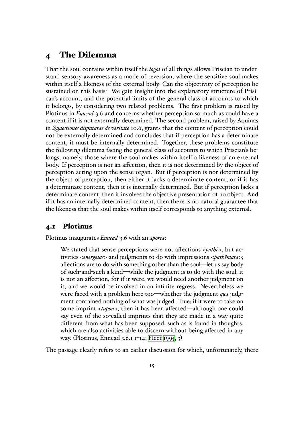## **4 The Dilemma**

That the soul contains within itself the *logoi* of all things allows Priscian to understand sensory awareness as a mode of reversion, where the sensitive soul makes within itself a likeness of the external body. Can the objectivity of perception be sustained on this basis? We gain insight into the explanatory structure of Prisican's account, and the potential limits of the general class of accounts to which it belongs, by considering two related problems. The first problem is raised by Plotinus in *Ennead* 3.6 and concerns whether perception so much as could have a content if it is not externally determined. The second problem, raised by Aquinas in *Quaestiones disputatae de veritate* 10.6, grants that the content of perception could not be externally determined and concludes that if perception has a determinate content, it must be internally determined. Together, these problems constitute the following dilemma facing the general class of accounts to which Priscian's belongs, namely, those where the soul makes within itself a likeness of an external body. If perception is not an affection, then it is not determined by the object of perception acting upon the sense-organ. But if perception is not determined by the object of perception, then either it lacks a determinate content, or if it has a determinate content, then it is internally determined. But if perception lacks a determinate content, then it involves the objective presentation of no object. And if it has an internally determined content, then there is no natural guarantee that the likeness that the soul makes within itself corresponds to anything external.

#### **4.1 Plotinus**

Plotinus inaugurates *Ennead* 3.6 with an *aporia*:

We stated that sense perceptions were not affections <*pathê*>, but activities <*energeias*> and judgments to do with impressions <*pathêmata*>; affections are to do with something other than the soul—let us say body of such-and-such a kind—while the judgment is to do with the soul; it is not an affection, for if it were, we would need another judgment on it, and we would be involved in an infinite regress. Nevertheless we were faced with a problem here too—whether the judgment *qua* judgment contained nothing of what was judged. True; if it were to take on some imprint <*tupon*>, then it has been affected—although one could say even of the so-called imprints that they are made in a way quite different from what has been supposed, such as is found in thoughts, which are also activities able to discern without being affected in any way. (Plotinus, Ennead 3.6.1 1–14; Fleet 1995, 3)

The passage clearly refers to an earlier discussion for which, unfortunately, there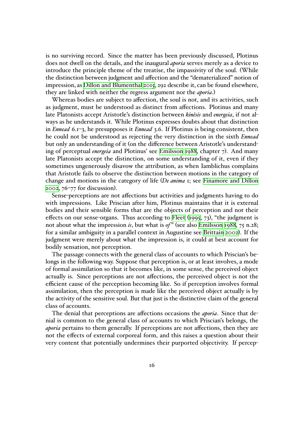is no surviving record. Since the matter has been previously discussed, Plotinus does not dwell on the details, and the inaugural *aporia* serves merely as a device to introduce the principle theme of the treatise, the impassivity of the soul. (While the distinction between judgment and affection and the "dematerialized" notion of impression, as Dillon and Blumenthal 2015, 292 describe it, can be found elsewhere, they are linked with neither the regress argument nor the *aporia*.)

Whereas bodies are subject to affection, the soul is not, and its activities, such as judgment, [must be understood as distin](#page-21-3)ct from affections. Plotinus and many late Platonists accept Aristotle's distinction between *kinêsis* and *energeia*, if not always as he understands it. While Plotinus expresses doubts about that distinction in *Ennead* 6.1–3, he presupposes it *Ennead* 3.6. If Plotinus is being consistent, then he could not be understood as rejecting the very distinction in the sixth *Ennead* but only an understanding of it (on the difference between Aristotle's understanding of perceptual *energeia* and Plotinus' see Emilsson 1988, chapter 7). And many late Platonists accept the distinction, on some understanding of it, even if they sometimes ungenerously disavow the attribution, as when Iamblichus complains that Aristotle fails to observe the distincti[on between mo](#page-21-4)tions in the category of change and motions in the category of life (*De anima* 1; see Finamore and Dillon 2002, 76–77 for discussion).

Sense-perceptions are not affections but activities and judgments having to do with impressions. Like Priscian after him, Plotinus mainta[ins that it is external](#page-22-2) [bodie](#page-22-2)s and their sensible forms that are the objects of perception and not their effects on our sense-organs. Thus according to Fleet (1995, 73), "the judgment is not about what the impression *is*, but what is *of*" (see also Emilsson 1988, 75 n.28; for a similar ambiguity in a parallel context in Augustine see Brittain 2002). If the judgment were merely about what the impressi[on is,](#page-22-16) i[t cou](#page-22-16)ld at best account for bodily sensation, not perception.

The passage connects with the general class of accounts [to](#page-21-4) [which](#page-21-5) [P](#page-21-4)[risci](#page-21-5)an's belongs in the following way. Suppose that perception is, or at least involves, a mode of formal assimilation so that it becomes like, in some sense, the perceived object actually is. Since perceptions are not affections, the perceived object is not the efficient cause of the perception becoming like. So if perception involves formal assimilation, then the perception is made like the perceived object actually is by the activity of the sensitive soul. But that just is the distinctive claim of the general class of accounts.

The denial that perceptions are affections occasions the *aporia*. Since that denial is common to the general class of accounts to which Priscian's belongs, the *aporia* pertains to them generally. If perceptions are not affections, then they are not the effects of external corporeal form, and this raises a question about their very content that potentially undermines their purported objectivity. If percep-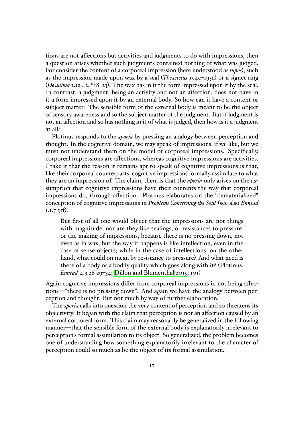tions are not affections but activities and judgments to do with impressions, then a question arises whether such judgments contained nothing of what was judged. For consider the content of a corporeal impression (here understood as *tupos*), such as the impression made upon wax by a seal (*Theaetetus* 194c–195a) or a signet ring (*De anima* 2.12 424<sup>*a*</sup> 18–23). The wax has in it the form impressed upon it by the seal. In contrast, a judgment, being an activity and not an affection, does not have in it a form impressed upon it by an external body. So how can it have a content or subject matter? The sensible form of the external body is meant to be the object of sensory awareness and so the subject matter of the judgment. But if judgment is not an affection and so has nothing in it of what is judged, then how is it a judgment at all?

Plotinus responds to the *aporia* by pressing an analogy between perception and thought. In the cognitive domain, we may speak of impressions, if we like, but we must not understand them on the model of corporeal impressions. Specifically, corporeal impressions are affections, whereas cognitive impressions are activities. I take it that the reason it remains apt to speak of cognitive impressions is that, like their corporeal counterparts, cognitive impressions formally assimilate to what they are an impression of. The claim, then, is that the *aporia* only arises on the assumption that cognitive impressions have their contents the way that corporeal impressions do, through affection. Plotinus elaborates on the "dematerialized" conception of cognitive impressions in *Problems Concerning the Soul* (see also *Ennead* 1.1.7 9ff):

But first of all one would object that the impressions are not things with magnitude, nor are they like sealings, or resistances to pressure, or the making of impressions, because there is no pressing down, not even as in wax, but the way it happens is like intellection, even in the case of sense-objects; while in the case of intellections, on the other hand, what could on mean by resistance to pressure? And what need is there of a body or a bodily quality which goes along with it? (Plotinus, *Ennead* 4.3.26 29–34; Dillon and Blumenthal 2015, 101)

Again cognitive impressions differ from corporeal impressions in not being affections—"there is no pressing down". And again we have the analogy between perception and thought. But [not much by way of further e](#page-21-3)laboration.

The *aporia* calls into question the very content of perception and so threatens its objectivity. It began with the claim that perception is not an affection caused by an external corporeal form. This claim may reasonably be generalized in the following manner—that the sensible form of the external body is explanatorily irrelevant to perception's formal assimilation to its object. So generalized, the problem becomes one of understanding how something explanatorily irrelevant to the character of perception could so much as be the object of its formal assimilation.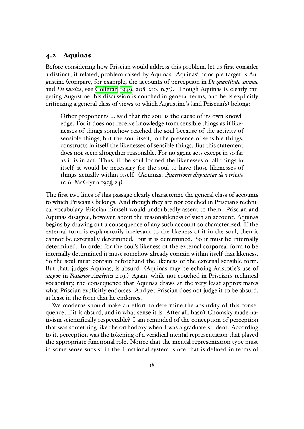#### **4.2 Aquinas**

Before considering how Priscian would address this problem, let us first consider a distinct, if related, problem raised by Aquinas. Aquinas' principle target is Augustine (compare, for example, the accounts of perception in *De quantitate animae* and *De musica*, see Colleran 1949, 208–210, n.73). Though Aquinas is clearly targeting Augustine, his discussion is couched in general terms, and he is explicitly criticizing a general class of views to which Augustine's (and Priscian's) belong:

Other propo[nents … said th](#page-21-6)at the soul is the cause of its own knowledge. For it does not receive knowledge from sensible things as if likenesses of things somehow reached the soul because of the activity of sensible things, but the soul itself, in the presence of sensible things, constructs in itself the likenesses of sensible things. But this statement does not seem altogether reasonable. For no agent acts except in so far as it is in act. Thus, if the soul formed the likenesses of all things in itself, it would be necessary for the soul to have those likenesses of things actually within itself. (Aquinas, *Quaestiones disputatae de veritate* 10.6; McGlynn 1953, 24)

The first two lines of this passage clearly characterize the general class of accounts to which Priscian's belongs. And though they are not couched in Priscian's technical vocabu[lary, Priscian hi](#page-22-17)mself would undoubtedly assent to them. Priscian and Aquinas disagree, however, about the reasonableness of such an account. Aquinas begins by drawing out a consequence of any such account so characterized. If the external form is explanatorily irrelevant to the likeness of it in the soul, then it cannot be externally determined. But it is determined. So it must be internally determined. In order for the soul's likeness of the external corporeal form to be internally determined it must somehow already contain within itself that likeness. So the soul must contain beforehand the likeness of the external sensible form. But that, judges Aquinas, is absurd. (Aquinas may be echoing Aristotle's use of *atopon* in *Posterior Analytics* 2.19.) Again, while not couched in Priscian's technical vocabulary, the consequence that Aquinas draws at the very least approximates what Priscian explicitly endorses. And yet Priscian does not judge it to be absurd, at least in the form that he endorses.

We moderns should make an effort to determine the absurdity of this consequence, if it is absurd, and in what sense it is. After all, hasn't Chomsky made nativism scientifically respectable? I am reminded of the conception of perception that was something like the orthodoxy when I was a graduate student. According to it, perception was the tokening of a veridical mental representation that played the appropriate functional role. Notice that the mental representation type must in some sense subsist in the functional system, since that is defined in terms of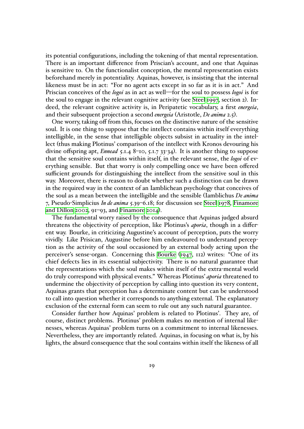its potential configurations, including the tokening of that mental representation. There is an important difference from Priscian's account, and one that Aquinas is sensitive to. On the functionalist conception, the mental representation exists beforehand merely in potentiality. Aquinas, however, is insisting that the internal likeness must be in act: "For no agent acts except in so far as it is in act." And Priscian conceives of the *logoi* as in act as well—for the soul to possess *logoi* is for the soul to engage in the relevant cognitive activity (see Steel 1997, section 2). Indeed, the relevant cognitive activity is, in Peripatetic vocabulary, a first *energeia*, and their subsequent projection a second *energeia* (Aristotle, *De anima* 2.5).

One worry, taking off from this, focuses on the distinc[tive nature](#page-22-15) of the sensitive soul. It is one thing to suppose that the intellect contains within itself everything intelligible, in the sense that intelligible objects subsist in actuality in the intellect (thus making Plotinus' comparison of the intellect with Kronos devouring his divine offspring apt, *Ennead* 5.1.4 8–10, 5.1.7 33-34). It is another thing to suppose that the sensitive soul contains within itself, in the relevant sense, the *logoi* of everything sensible. But that worry is only compelling once we have been offered sufficient grounds for distinguishing the intellect from the sensitive soul in this way. Moreover, there is reason to doubt whether such a distinction can be drawn in the required way in the context of an Iamblichean psychology that conceives of the soul as a mean between the intelligible and the sensible (Iamblichus *De anima* 7, Pseudo-Simplicius *In de anima* 5.39–6.18; for discussion see Steel 1978, Finamore and Dillon 2002, 91–93, and Finamore 2014).

The fundamental worry raised by the consequence that Aquinas judged absurd threatens the objectivity of perception, like Plotinus's *aporia*[, though](#page-22-0) i[n a differ](#page-22-2)[ent way. Bourke,](#page-22-2) in criticizi[ng Augustine's a](#page-22-18)ccount of perception, puts the worry vividly. Like Prisican, Augustine before him endeavoured to understand perception as the activity of the soul occasioned by an external body acting upon the perceiver's sense-organ. Concerning this Bourke (1947, 112) writes: "One of its chief defects lies in its essential subjectivity. There is no natural guarantee that the representations which the soul makes within itself of the extra-mental world do truly correspond with physical events." [Whereas Plot](#page-21-7)inus' *aporia* threatened to undermine the objectivity of perception by calling into question its very content, Aquinas grants that perception has a determinate content but can be understood to call into question whether it corresponds to anything external. The explanatory exclusion of the external form can seem to rule out any such natural guarantee.

Consider further how Aquinas' problem is related to Plotinus'. They are, of course, distinct problems. Plotinus' problem makes no mention of internal likenesses, whereas Aquinas' problem turns on a commitment to internal likenesses. Nevertheless, they are importantly related. Aquinas, in focusing on what is, by his lights, the absurd consequence that the soul contains within itself the likeness of all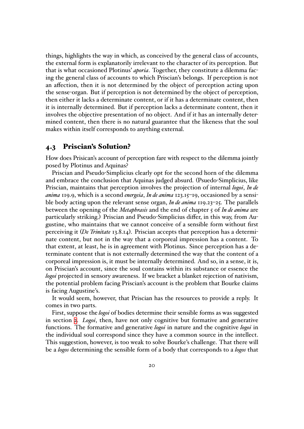things, highlights the way in which, as conceived by the general class of accounts, the external form is explanatorily irrelevant to the character of its perception. But that is what occasioned Plotinus' *aporia*. Together, they constitute a dilemma facing the general class of accounts to which Priscian's belongs. If perception is not an affection, then it is not determined by the object of perception acting upon the sense-organ. But if perception is not determined by the object of perception, then either it lacks a determinate content, or if it has a determinate content, then it is internally determined. But if perception lacks a determinate content, then it involves the objective presentation of no object. And if it has an internally determined content, then there is no natural guarantee that the likeness that the soul makes within itself corresponds to anything external.

#### **4.3 Priscian's Solution?**

How does Prisican's account of perception fare with respect to the dilemma jointly posed by Plotinus and Aquinas?

Priscian and Pseudo-Simplicius clearly opt for the second horn of the dilemma and embrace the conclusion that Aquinas judged absurd. (Psuedo-Simplicius, like Priscian, maintains that perception involves the projection of internal *logoi*, *In de anima* 119.9, which is a second *energeia*, *In de anima* 123.15–19, occasioned by a sensible body acting upon the relevant sense organ, *In de anima* 119.23–25. The parallels between the opening of the *Metaphrasis* and the end of chapter 5 of *In de anima* are particularly striking.) Priscian and Pseudo-Simplicius differ, in this way, from Augustine, who maintains that we cannot conceive of a sensible form without first perceiving it (*De Trinitate* 13.8.14). Priscian accepts that perception has a determinate content, but not in the way that a corporeal impression has a content. To that extent, at least, he is in agreement with Plotinus. Since perception has a determinate content that is not externally determined the way that the content of a corporeal impression is, it must be internally determined. And so, in a sense, it is, on Priscian's account, since the soul contains within its substance or essence the *logoi* projected in sensory awareness. If we bracket a blanket rejection of nativism, the potential problem facing Priscian's account is the problem that Bourke claims is facing Augustine's.

It would seem, however, that Priscian has the resources to provide a reply. It comes in two parts.

First, suppose the *logoi* of bodies determine their sensible forms as was suggested in section 2. *Logoi*, then, have not only cognitive but formative and generative functions. The formative and generative *logoi* in nature and the cognitive *logoi* in the individual soul correspond since they have a common source in the intellect. This sugge[st](#page-1-0)ion, however, is too weak to solve Bourke's challenge. That there will be a *logos* determining the sensible form of a body that corresponds to a *logos* that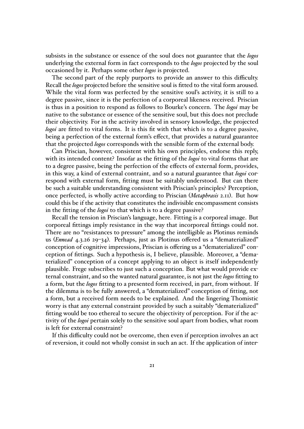subsists in the substance or essence of the soul does not guarantee that the *logos* underlying the external form in fact corresponds to the *logos* projected by the soul occasioned by it. Perhaps some other *logos* is projected.

The second part of the reply purports to provide an answer to this difficulty. Recall the *logos* projected before the sensitive soul is fitted to the vital form aroused. While the vital form was perfected by the sensitive soul's activity, it is still to a degree passive, since it is the perfection of a corporeal likeness received. Priscian is thus in a position to respond as follows to Bourke's concern. The *logoi* may be native to the substance or essence of the sensitive soul, but this does not preclude their objectivity. For in the activity involved in sensory knowledge, the projected *logoi* are fitted to vital forms. It is this fit with that which is to a degree passive, being a perfection of the external form's effect, that provides a natural guarantee that the projected *logos* corresponds with the sensible form of the external body.

Can Priscian, however, consistent with his own principles, endorse this reply, with its intended content? Insofar as the fitting of the *logoi* to vital forms that are to a degree passive, being the perfection of the effects of external form, provides, in this way, a kind of external contraint, and so a natural guarantee that *logoi* correspond with external form, fitting must be suitably understood. But can there be such a suitable understanding consistent with Priscian's principles? Perception, once perfected, is wholly active according to Priscian (*Metaphrasis* 2.11). But how could this be if the activity that constitutes the indivisible encompassment consists in the fitting of the *logoi* to that which is to a degree passive?

Recall the tension in Priscian's language, here. Fitting is a corporeal image. But corporeal fittings imply resistance in the way that incorporeal fittings could not. There are no "resistances to pressure" among the intelligible as Plotinus reminds us (*Ennead* 4.3.26 29–34). Perhaps, just as Plotinus offered us a "dematerialized" conception of cognitive impressions, Priscian is offering us a "dematerialized" conception of fittings. Such a hypothesis is, I believe, plausible. Moreover, a "dematerialized" conception of a concept applying to an object is itself independently plausible. Frege subscribes to just such a conception. But what would provide external constraint, and so the wanted natural guarantee, is not just the *logos* fitting to a form, but the *logos* fitting to a presented form received, in part, from without. If the dilemma is to be fully answered, a "dematerialized" conception of fitting, not a form, but a received form needs to be explained. And the lingering Thomistic worry is that any external constraint provided by such a suitably "dematerialized" fitting would be too ethereal to secure the objectivity of perception. For if the activity of the *logoi* pertain solely to the sensitive soul apart from bodies, what room is left for external constraint?

If this difficulty could not be overcome, then even if perception involves an act of reversion, it could not wholly consist in such an act. If the application of inter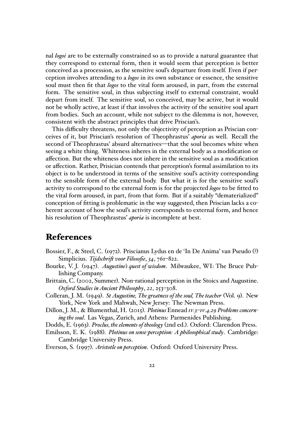nal *logoi* are to be externally constrained so as to provide a natural guarantee that they correspond to external form, then it would seem that perception is better conceived as a procession, as the sensitive soul's departure from itself. Even if perception involves attending to a *logos* in its own substance or essence, the sensitive soul must then fit that *logos* to the vital form aroused, in part, from the external form. The sensitive soul, in thus subjecting itself to external constraint, would depart from itself. The sensitive soul, so conceived, may be active, but it would not be wholly active, at least if that involves the activity of the sensitive soul apart from bodies. Such an account, while not subject to the dilemma is not, however, consistent with the abstract principles that drive Priscian's.

This difficulty threatens, not only the objectivity of perception as Priscian conceives of it, but Priscian's resolution of Theophrastus' *aporia* as well. Recall the second of Theophrastus' absurd alternatives—that the soul becomes white when seeing a white thing. Whiteness inheres in the external body as a modification or affection. But the whiteness does not inhere in the sensitive soul as a modification or affection. Rather, Prisician contends that perception's formal assimilation to its object is to be understood in terms of the sensitive soul's activity corresponding to the sensible form of the external body. But what it is for the sensitive soul's activity to correspond to the external form is for the projected *logos* to be fitted to the vital form aroused, in part, from that form. But if a suitably "dematerialized" conception of fitting is problematic in the way suggested, then Priscian lacks a coherent account of how the soul's activity corresponds to external form, and hence his resolution of Theophrastus' *aporia* is incomplete at best.

### **References**

- <span id="page-21-0"></span>Bossier, F., & Steel, C. (1972). Priscianus Lydus en de 'In De Anima' van Pseudo (?) Simplicius. *Tijdschrift voor Filosofie*, *34*, 761–822.
- <span id="page-21-7"></span>Bourke, V. J. (1947). *Augustine's quest of wisdom*. Milwaukee, WI: The Bruce Publishing Company.
- <span id="page-21-5"></span>Brittain, C. (2002, Summer). Non-rational perception in the Stoics and Augustine. *Oxford Studies in Ancient Philosophy*, *22*, 253–308.
- <span id="page-21-6"></span>Colleran, J. M. (1949). *St Augustine, The greatness of the soul, The teacher* (Vol. 9). New York, New York and Mahwah, New Jersey: The Newman Press.
- <span id="page-21-3"></span>Dillon, J. M., & Blumenthal, H. (2015). *Plotinus* Ennead *iv.3–iv.4.29 Problems concerning the soul*. Las Vegas, Zurich, and Athens: Parmenides Publishing.
- <span id="page-21-4"></span><span id="page-21-2"></span>Dodds, E. (1963). *Proclus, the elements of theology* (2nd ed.). Oxford: Clarendon Press.
- Emilsson, E. K. (1988). *Plotinus on sense-perception: A philosophical study*. Cambridge: Cambridge University Press.
- <span id="page-21-1"></span>Everson, S. (1997). *Aristotle on perception*. Oxford: Oxford University Press.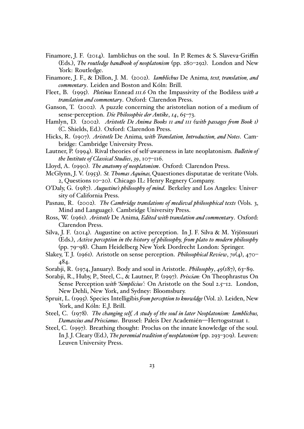- <span id="page-22-18"></span>Finamore, J. F. (2014). Iamblichus on the soul. In P. Remes & S. Slaveva-Griffin (Eds.), *The routledge handbook of neoplatonism* (pp. 280–292). London and New York: Routledge.
- <span id="page-22-2"></span>Finamore, J. F., & Dillon, J. M. (2002). *Iamblichus* De Anima*, text, translation, and commentary*. Leiden and Boston and Kóln: Brill.
- <span id="page-22-16"></span>Fleet, B. (1995). *Plotinus* Ennead *iii.6* On the Impassivity of the Bodiless *with a translation and commentary*. Oxford: Clarendon Press.
- <span id="page-22-13"></span>Ganson, T. (2002). A puzzle concerning the aristotelian notion of a medium of sense-perception. *Die Philosophie der Antike*, *14*, 65–73.
- <span id="page-22-5"></span>Hamlyn, D. (2002). *Aristotle De Anima Books ii and iii (with passages from Book i)* (C. Shields, Ed.). Oxford: Clarendon Press.
- <span id="page-22-6"></span>Hicks, R. (1907). *Aristotle* De Anima*, with Translation, Introduction, and Notes*. Cambridge: Cambridge University Press.
- <span id="page-22-11"></span>Lautner, P. (1994). Rival theories of self-awareness in late neoplatonism. *Bulletin of the Institute of Classical Studies*, *39*, 107–116.
- <span id="page-22-12"></span>Lloyd, A. (1990). *The anatomy of neoplatonism*. Oxford: Clarendon Press.
- <span id="page-22-17"></span>McGlynn, J. V. (1953). *St. Thomas Aquinas,* Quaestiones disputatae de veritate (Vols. 2, Questions 10–20). Chicago IL: Henry Regnery Company.
- <span id="page-22-14"></span>O'Daly, G. (1987). *Augustine's philosophy of mind*. Berkeley and Los Angeles: University of California Press.
- <span id="page-22-10"></span>Pasnau, R. (2002). *The Cambridge translations of medieval philosophical texts* (Vols. 3, Mind and Language). Cambridge University Press.
- <span id="page-22-7"></span>Ross, W. (1961). *Aristotle* De Anima*, Edited with translation and commentary*. Oxford: Clarendon Press.
- <span id="page-22-3"></span>Silva, J. F. (2014). Augustine on active perception. In J. F. Silva & M. Yrjönsuuri (Eds.), *Active perception in the history of philosophy, from plato to modern philosophy* (pp. 79–98). Cham Heidelberg New York Dordrecht London: Springer.
- <span id="page-22-8"></span>Slakey, T. J. (1961). Aristotle on sense perception. *Philosophical Review*, *70*(4), 470– 484.
- <span id="page-22-9"></span>Sorabji, R. (1974, January). Body and soul in Aristotle. *Philosophy*, *49*(187), 63–89.
- <span id="page-22-1"></span>Sorabji, R., Huby, P., Steel, C., & Lautner, P. (1997). *Priscian:* On Theophrastus On Sense Perception *with 'Simplicius':* On Aristotle on the Soul 2.5–12. London, New Dehli, New York, and Sydney: Bloomsbury.
- <span id="page-22-4"></span>Spruit, L. (1995). Species Intelligibis*from perception to knowldge* (Vol. 2). Leiden, New York, and Kóln: E.J. Brill.
- <span id="page-22-0"></span>Steel, C. (1978). *The changing self, A study of the soul in later Neoplatonism: Iamblichus, Damascius and Priscianus*. Brussel: Paleis Der Academién—Hertogsstraat 1.
- <span id="page-22-15"></span>Steel, C. (1997). Breathing thought: Proclus on the innate knowledge of the soul. In J. J. Cleary (Ed.), *The perennial tradition of neoplatonism* (pp. 293–309). Leuven: Leuven University Press.